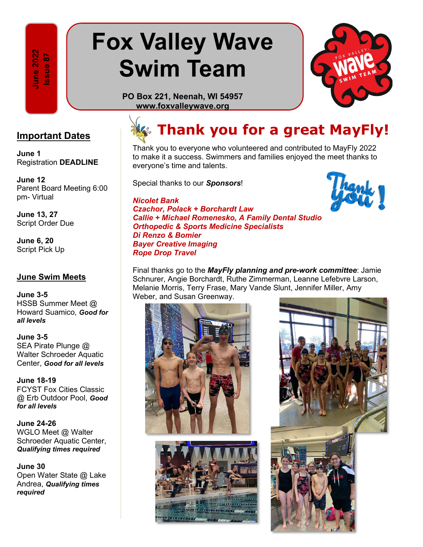**022 Issue 87**  ssue 87  $\sim$ 

# **Fox Valley Wave Swim Team**



**PO Box 221, Neenah, WI 54957 www.foxvalleywave.org**

**June 1** Registration **DEADLINE**

**June 12** Parent Board Meeting 6:00 pm- Virtual

**June 13, 27** Script Order Due

**June 6, 20** Script Pick Up

#### **June Swim Meets**

**June 3-5**  HSSB Summer Meet @ Howard Suamico, *Good for all levels* **required**<br> **requires**<br> **requires**<br> **requires**<br> **requires**<br> **requires**<br> **requires**<br> **requires**<br> **require**<br> **requires**<br> **requires**<br> **requires**<br> **require**<br> **require**<br> **require**<br> **require**<br> **require**<br> **require**<br> **required**<br>

**June 3-5**  SEA Pirate Plunge @ Walter Schroeder Aquatic Center, *Good for all levels*

**June 18-19** FCYST Fox Cities Classic @ Erb Outdoor Pool, *Good for all levels*

**June 24-26** WGLO Meet @ Walter Schroeder Aquatic Center, *Qualifying times required*

**June 30** Open Water State @ Lake Andrea, *Qualifying times*  required

### **Thank you for a great MayFly! Important Dates**

Thank you to everyone who volunteered and contributed to MayFly 2022 to make it a success. Swimmers and families enjoyed the meet thanks to everyone's time and talents.

Special thanks to our *Sponsors*!

#### *Nicolet Bank*

*Czachor, Polack + Borchardt Law Callie + Michael Romenesko, A Family Dental Studio Orthopedic & Sports Medicine Specialists Di Renzo & Bomier Bayer Creative Imaging Rope Drop Travel*



Final thanks go to the *MayFly planning and pre-work committee*: Jamie Schnurer, Angie Borchardt, Ruthe Zimmerman, Leanne Lefebvre Larson, Melanie Morris, Terry Frase, Mary Vande Slunt, Jennifer Miller, Amy Weber, and Susan Greenway.





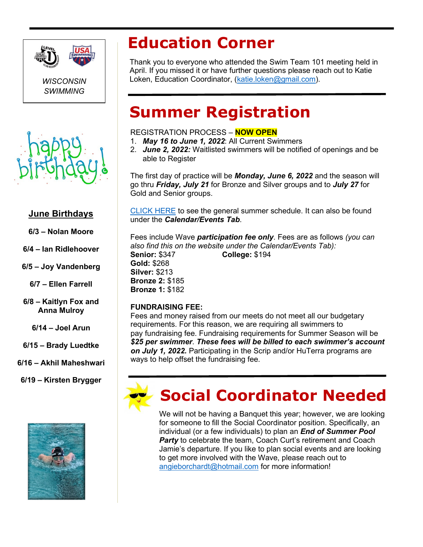

*WISCONSIN SWIMMING*



### **June Birthdays**

- **6/3 Nolan Moore**
- **6/4 Ian Ridlehoover**

**6/5 – Joy Vandenberg**

**6/7 – Ellen Farrell**

**6/8 – Kaitlyn Fox and Anna Mulroy**

**6/14 – Joel Arun**

**6/15 – Brady Luedtke**

**6/16 – Akhil Maheshwari**

**6/19 – Kirsten Brygger**



### **Education Corner**

Thank you to everyone who attended the Swim Team 101 meeting held in April. If you missed it or have further questions please reach out to Katie Loken, Education Coordinator, [\(katie.loken@gmail.com\)](mailto:katie.loken@gmail.com).

### **Summer Registration**

#### REGISTRATION PROCESS – **NOW OPEN**

- 1. *May 16 to June 1, 2022*: All Current Swimmers
- 2. *June 2, 2022:* Waitlisted swimmers will be notified of openings and be able to Register

The first day of practice will be *Monday, June 6, 2022* and the season will go thru *Friday, July 21* for Bronze and Silver groups and to *July 27* for Gold and Senior groups.

[CLICK HERE](https://urldefense.com/v3/__https:/www.teamunify.com/wifvwst/UserFiles/Image/QuickUpload/summer-schedule-2022_002155.pdf__;!!IfVdvpvC!TmNJ_qHkEAPSnyicQanhYIVeVDqUesWXbN4iDkOI4LYeK8R1-ksEb4Hcf9sIM1xGLd7N9K8c9onHLCIzLubm1x4lgKZ2Qps$) to see the general summer schedule. It can also be found under the *Calendar/Events Tab*.

Fees include Wave *participation fee only*. Fees are as follows *(you can also find this on the website under the Calendar/Events Tab):*  **Senior:** \$347 **College:** \$194 **Gold:** \$268 **Silver:** \$213 **Bronze 2:** \$185

#### **FUNDRAISING FEE:**

**Bronze 1:** \$182

Fees and money raised from our meets do not meet all our budgetary requirements. For this reason, we are requiring all swimmers to pay fundraising fee. Fundraising requirements for Summer Season will be *\$25 per swimmer*. *These fees will be billed to each swimmer's account on July 1, 2022.* Participating in the Scrip and/or HuTerra programs are ways to help offset the fundraising fee.



### **Social Coordinator Needed**

We will not be having a Banquet this year; however, we are looking for someone to fill the Social Coordinator position. Specifically, an individual (or a few individuals) to plan an *End of Summer Pool*  **Party** to celebrate the team, Coach Curt's retirement and Coach Jamie's departure. If you like to plan social events and are looking to get more involved with the Wave, please reach out to [angieborchardt@hotmail.com](mailto:angieborchardt@hotmail.com) for more information!